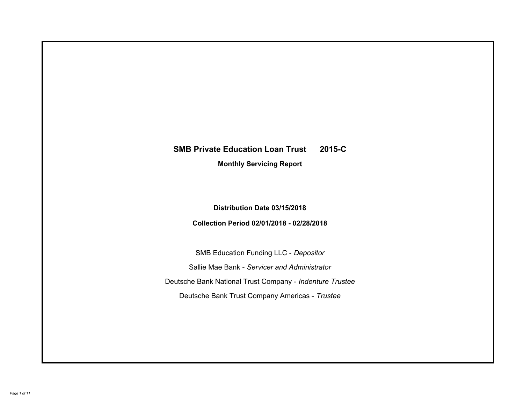# **SMB Private Education Loan Trust 2015-C Monthly Servicing Report**

# **Distribution Date 03/15/2018**

# **Collection Period 02/01/2018 - 02/28/2018**

SMB Education Funding LLC - *Depositor* Sallie Mae Bank - *Servicer and Administrator* Deutsche Bank National Trust Company - *Indenture Trustee* Deutsche Bank Trust Company Americas - *Trustee*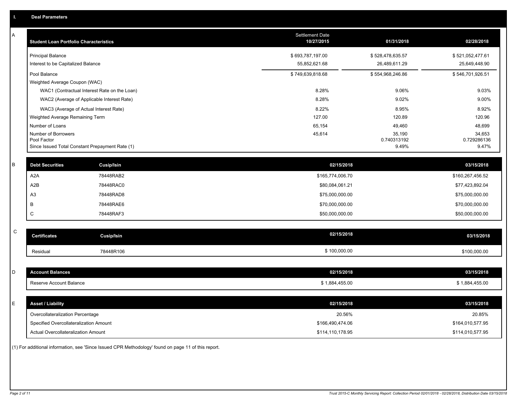| A       | <b>Student Loan Portfolio Characteristics</b>   |                                              | Settlement Date<br>10/27/2015 | 01/31/2018            | 02/28/2018            |
|---------|-------------------------------------------------|----------------------------------------------|-------------------------------|-----------------------|-----------------------|
|         | <b>Principal Balance</b>                        |                                              | \$693,787,197.00              | \$528,478,635.57      | \$521,052,477.61      |
|         | Interest to be Capitalized Balance              |                                              | 55,852,621.68                 | 26,489,611.29         | 25,649,448.90         |
|         | Pool Balance                                    |                                              | \$749,639,818.68              | \$554,968,246.86      | \$546,701,926.51      |
|         | Weighted Average Coupon (WAC)                   |                                              |                               |                       |                       |
|         |                                                 | WAC1 (Contractual Interest Rate on the Loan) | 8.28%                         | 9.06%                 | 9.03%                 |
|         | WAC2 (Average of Applicable Interest Rate)      |                                              | 8.28%                         | 9.02%                 | 9.00%                 |
|         | WAC3 (Average of Actual Interest Rate)          |                                              | 8.22%                         | 8.95%                 | 8.92%                 |
|         | Weighted Average Remaining Term                 |                                              | 127.00                        | 120.89                | 120.96                |
|         | Number of Loans                                 |                                              | 65,154                        | 49,460                | 48,699                |
|         | Number of Borrowers<br>Pool Factor              |                                              | 45,614                        | 35,190<br>0.740313192 | 34,653<br>0.729286136 |
|         | Since Issued Total Constant Prepayment Rate (1) |                                              |                               | 9.49%                 | 9.47%                 |
|         |                                                 |                                              |                               |                       |                       |
| $\sf B$ | <b>Debt Securities</b>                          | <b>Cusip/Isin</b>                            | 02/15/2018                    |                       | 03/15/2018            |
|         | A <sub>2</sub> A                                | 78448RAB2                                    | \$165,774,006.70              |                       | \$160,267,456.52      |
|         | A2B                                             | 78448RAC0                                    | \$80,084,061.21               |                       | \$77,423,892.04       |
|         | A3                                              | 78448RAD8                                    | \$75,000,000.00               |                       | \$75,000,000.00       |
|         | В                                               | 78448RAE6                                    | \$70,000,000.00               |                       | \$70,000,000.00       |
|         | C                                               | 78448RAF3                                    | \$50,000,000.00               |                       | \$50,000,000.00       |
|         |                                                 |                                              |                               |                       |                       |
| C       | <b>Certificates</b>                             | <b>Cusip/Isin</b>                            | 02/15/2018                    |                       | 03/15/2018            |
|         | Residual                                        | 78448R106                                    | \$100,000.00                  |                       | \$100,000.00          |
|         |                                                 |                                              |                               |                       |                       |
| D       | <b>Account Balances</b>                         |                                              | 02/15/2018                    |                       | 03/15/2018            |
|         | Reserve Account Balance                         |                                              | \$1,884,455.00                |                       | \$1,884,455.00        |
|         |                                                 |                                              |                               |                       |                       |
| Ε       | <b>Asset / Liability</b>                        |                                              | 02/15/2018                    |                       | 03/15/2018            |
|         | Overcollateralization Percentage                |                                              | 20.56%                        |                       | 20.85%                |
|         | Specified Overcollateralization Amount          |                                              | \$166,490,474.06              |                       | \$164,010,577.95      |
|         | Actual Overcollateralization Amount             |                                              | \$114,110,178.95              |                       | \$114,010,577.95      |
|         |                                                 |                                              |                               |                       |                       |

(1) For additional information, see 'Since Issued CPR Methodology' found on page 11 of this report.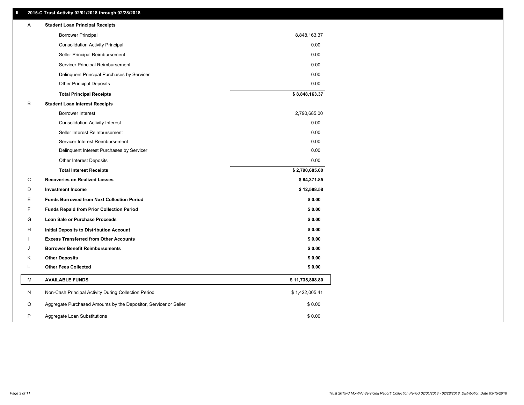### **II. 2015-C Trust Activity 02/01/2018 through 02/28/2018**

| Α | <b>Student Loan Principal Receipts</b>                           |                 |  |
|---|------------------------------------------------------------------|-----------------|--|
|   | <b>Borrower Principal</b>                                        | 8,848,163.37    |  |
|   | <b>Consolidation Activity Principal</b>                          | 0.00            |  |
|   | Seller Principal Reimbursement                                   | 0.00            |  |
|   | Servicer Principal Reimbursement                                 | 0.00            |  |
|   | Delinquent Principal Purchases by Servicer                       | 0.00            |  |
|   | <b>Other Principal Deposits</b>                                  | 0.00            |  |
|   | <b>Total Principal Receipts</b>                                  | \$8,848,163.37  |  |
| B | <b>Student Loan Interest Receipts</b>                            |                 |  |
|   | <b>Borrower Interest</b>                                         | 2,790,685.00    |  |
|   | <b>Consolidation Activity Interest</b>                           | 0.00            |  |
|   | Seller Interest Reimbursement                                    | 0.00            |  |
|   | Servicer Interest Reimbursement                                  | 0.00            |  |
|   | Delinquent Interest Purchases by Servicer                        | 0.00            |  |
|   | <b>Other Interest Deposits</b>                                   | 0.00            |  |
|   | <b>Total Interest Receipts</b>                                   | \$2,790,685.00  |  |
| C | <b>Recoveries on Realized Losses</b>                             | \$84,371.85     |  |
| D | <b>Investment Income</b>                                         | \$12,588.58     |  |
| Ε | <b>Funds Borrowed from Next Collection Period</b>                | \$0.00          |  |
| F | <b>Funds Repaid from Prior Collection Period</b>                 | \$0.00          |  |
| G | Loan Sale or Purchase Proceeds                                   | \$0.00          |  |
| н | Initial Deposits to Distribution Account                         | \$0.00          |  |
|   | <b>Excess Transferred from Other Accounts</b>                    | \$0.00          |  |
| J | <b>Borrower Benefit Reimbursements</b>                           | \$0.00          |  |
| Κ | <b>Other Deposits</b>                                            | \$0.00          |  |
| L | <b>Other Fees Collected</b>                                      | \$0.00          |  |
| М | <b>AVAILABLE FUNDS</b>                                           | \$11,735,808.80 |  |
| N | Non-Cash Principal Activity During Collection Period             | \$1,422,005.41  |  |
| O | Aggregate Purchased Amounts by the Depositor, Servicer or Seller | \$0.00          |  |
| P | Aggregate Loan Substitutions                                     | \$0.00          |  |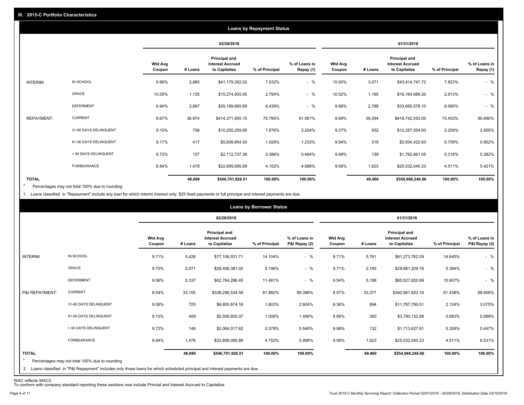|                   |                       |                          |         |                                                           | <b>Loans by Repayment Status</b> |                            |                          |         |                                                           |                |                            |
|-------------------|-----------------------|--------------------------|---------|-----------------------------------------------------------|----------------------------------|----------------------------|--------------------------|---------|-----------------------------------------------------------|----------------|----------------------------|
|                   |                       |                          |         | 02/28/2018                                                |                                  |                            |                          |         | 01/31/2018                                                |                |                            |
|                   |                       | <b>Wtd Avg</b><br>Coupon | # Loans | Principal and<br><b>Interest Accrued</b><br>to Capitalize | % of Principal                   | % of Loans in<br>Repay (1) | <b>Wtd Avg</b><br>Coupon | # Loans | Principal and<br><b>Interest Accrued</b><br>to Capitalize | % of Principal | % of Loans in<br>Repay (1) |
| INTERIM:          | IN SCHOOL             | 9.99%                    | 2,885   | \$41,179,352.02                                           | 7.532%                           | $-$ %                      | 10.00%                   | 3,071   | \$43,414,747.72                                           | 7.823%         | $-$ %                      |
|                   | GRACE                 | 10.05%                   | 1,135   | \$15,274,005.95                                           | 2.794%                           | $-$ %                      | 10.02%                   | 1,195   | \$16,164,689.20                                           | 2.913%         | $-$ %                      |
|                   | <b>DEFERMENT</b>      | 9.94%                    | 2,897   | \$35,199,665.69                                           | 6.439%                           | $-$ %                      | 9.96%                    | 2,788   | \$33,660,578.10                                           | 6.065%         | $-$ %                      |
| <b>REPAYMENT:</b> | <b>CURRENT</b>        | 8.67%                    | 38,974  | \$414,371,955.15                                          | 75.795%                          | 91.061%                    | 8.69%                    | 39,394  | \$418,742,053.00                                          | 75.453%        | 90.690%                    |
|                   | 31-60 DAYS DELINQUENT | 9.10%                    | 756     | \$10,255,259.95                                           | 1.876%                           | 2.254%                     | 9.37%                    | 932     | \$12,257,054.93                                           | 2.209%         | 2.655%                     |
|                   | 61-90 DAYS DELINQUENT | 9.17%                    | 417     | \$5,609,854.50                                            | 1.026%                           | 1.233%                     | 8.94%                    | 318     | \$3,934,422.63                                            | 0.709%         | 0.852%                     |
|                   | > 90 DAYS DELINQUENT  | 9.73%                    | 157     | \$2,112,737.36                                            | 0.386%                           | 0.464%                     | 9.99%                    | 139     | \$1,762,661.05                                            | 0.318%         | 0.382%                     |
|                   | FORBEARANCE           | 8.94%                    | 1,478   | \$22,699,095.89                                           | 4.152%                           | 4.988%                     | 9.06%                    | 1,623   | \$25,032,040.23                                           | 4.511%         | 5.421%                     |
| <b>TOTAL</b>      |                       |                          | 48,699  | \$546,701,926.51                                          | 100.00%                          | 100.00%                    |                          | 49,460  | \$554,968,246.86                                          | 100.00%        | 100.00%                    |

Percentages may not total 100% due to rounding \*

1 Loans classified in "Repayment" include any loan for which interim interest only, \$25 fixed payments or full principal and interest payments are due.

|                         |                                                                                                                              |                          |         |                                                                  | <b>Loans by Borrower Status</b> |                                |                          |         |                                                                  |                |                                |
|-------------------------|------------------------------------------------------------------------------------------------------------------------------|--------------------------|---------|------------------------------------------------------------------|---------------------------------|--------------------------------|--------------------------|---------|------------------------------------------------------------------|----------------|--------------------------------|
|                         |                                                                                                                              |                          |         | 02/28/2018                                                       |                                 |                                |                          |         | 01/31/2018                                                       |                |                                |
|                         |                                                                                                                              | <b>Wtd Avg</b><br>Coupon | # Loans | <b>Principal and</b><br><b>Interest Accrued</b><br>to Capitalize | % of Principal                  | % of Loans in<br>P&I Repay (2) | <b>Wtd Avg</b><br>Coupon | # Loans | <b>Principal and</b><br><b>Interest Accrued</b><br>to Capitalize | % of Principal | % of Loans in<br>P&I Repay (2) |
| INTERIM:                | IN SCHOOL                                                                                                                    | 9.71%                    | 5,428   | \$77,106,931.71                                                  | 14.104%                         | $-$ %                          | 9.71%                    | 5,761   | \$81,273,762.59                                                  | 14.645%        | $-$ %                          |
|                         | <b>GRACE</b>                                                                                                                 | 9.70%                    | 2,071   | \$28,406,381.02                                                  | 5.196%                          | $-$ %                          | 9.71%                    | 2,185   | \$29,881,209.76                                                  | 5.384%         | $-$ %                          |
|                         | <b>DEFERMENT</b>                                                                                                             | 9.56%                    | 5,337   | \$62,764,286.45                                                  | 11.481%                         | $-$ %                          | 9.54%                    | 5,188   | \$60,527,820.89                                                  | 10.907%        | $-$ %                          |
| P&I REPAYMENT:          | <b>CURRENT</b>                                                                                                               | 8.54%                    | 33,105  | \$338,296,534.59                                                 | 61.880%                         | 89.396%                        | 8.57%                    | 33,377  | \$340,961,833.19                                                 | 61.438%        | 88.958%                        |
|                         | 31-60 DAYS DELINQUENT                                                                                                        | 9.06%                    | 725     | \$9,855,874.16                                                   | 1.803%                          | 2.604%                         | 9.36%                    | 894     | \$11,787,799.51                                                  | 2.124%         | 3.075%                         |
|                         | 61-90 DAYS DELINQUENT                                                                                                        | 9.15%                    | 409     | \$5,508,805.07                                                   | 1.008%                          | 1.456%                         | 8.89%                    | 300     | \$3,790,152.88                                                   | 0.683%         | 0.989%                         |
|                         | > 90 DAYS DELINQUENT                                                                                                         | 9.72%                    | 146     | \$2,064,017.62                                                   | 0.378%                          | 0.545%                         | 9.99%                    | 132     | \$1,713,627.81                                                   | 0.309%         | 0.447%                         |
|                         | <b>FORBEARANCE</b>                                                                                                           | 8.94%                    | 1,478   | \$22,699,095.89                                                  | 4.152%                          | 5.998%                         | 9.06%                    | 1,623   | \$25,032,040.23                                                  | 4.511%         | 6.531%                         |
| <b>TOTAL</b><br>$\star$ | Percentages may not total 100% due to rounding                                                                               |                          | 48,699  | \$546,701,926.51                                                 | 100.00%                         | 100.00%                        |                          | 49,460  | \$554,968,246.86                                                 | 100.00%        | 100.00%                        |
|                         | 2 Loans classified in "P&I Repayment" includes only those loans for which scheduled principal and interest payments are due. |                          |         |                                                                  |                                 |                                |                          |         |                                                                  |                |                                |

WAC reflects WAC3 To conform with company standard reporting these sections now include Princial and Interest Accrued to Capitalize.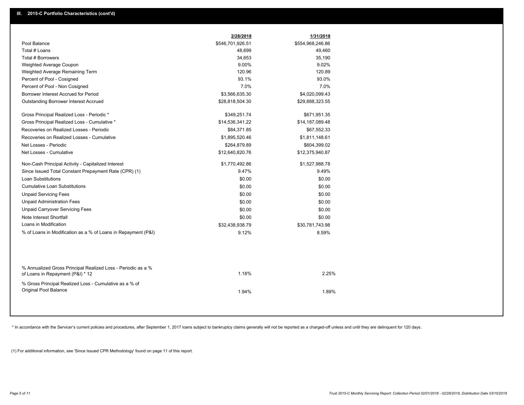|                                                                                                  | 2/28/2018        | 1/31/2018        |  |
|--------------------------------------------------------------------------------------------------|------------------|------------------|--|
| Pool Balance                                                                                     | \$546,701,926.51 | \$554,968,246.86 |  |
| Total # Loans                                                                                    | 48,699           | 49,460           |  |
| Total # Borrowers                                                                                | 34,653           | 35,190           |  |
| Weighted Average Coupon                                                                          | 9.00%            | 9.02%            |  |
| Weighted Average Remaining Term                                                                  | 120.96           | 120.89           |  |
| Percent of Pool - Cosigned                                                                       | 93.1%            | 93.0%            |  |
| Percent of Pool - Non Cosigned                                                                   | 7.0%             | 7.0%             |  |
| Borrower Interest Accrued for Period                                                             | \$3,566,635.30   | \$4,020,099.43   |  |
| Outstanding Borrower Interest Accrued                                                            | \$28,818,504.30  | \$29,888,323.55  |  |
| Gross Principal Realized Loss - Periodic *                                                       | \$349,251.74     | \$671,951.35     |  |
| Gross Principal Realized Loss - Cumulative *                                                     | \$14,536,341.22  | \$14,187,089.48  |  |
| Recoveries on Realized Losses - Periodic                                                         | \$84,371.85      | \$67,552.33      |  |
| Recoveries on Realized Losses - Cumulative                                                       | \$1,895,520.46   | \$1,811,148.61   |  |
| Net Losses - Periodic                                                                            | \$264,879.89     | \$604,399.02     |  |
| Net Losses - Cumulative                                                                          | \$12,640,820.76  | \$12,375,940.87  |  |
| Non-Cash Principal Activity - Capitalized Interest                                               | \$1,770,492.86   | \$1,527,988.78   |  |
| Since Issued Total Constant Prepayment Rate (CPR) (1)                                            | 9.47%            | 9.49%            |  |
| Loan Substitutions                                                                               | \$0.00           | \$0.00           |  |
| <b>Cumulative Loan Substitutions</b>                                                             | \$0.00           | \$0.00           |  |
| <b>Unpaid Servicing Fees</b>                                                                     | \$0.00           | \$0.00           |  |
| <b>Unpaid Administration Fees</b>                                                                | \$0.00           | \$0.00           |  |
| <b>Unpaid Carryover Servicing Fees</b>                                                           | \$0.00           | \$0.00           |  |
| Note Interest Shortfall                                                                          | \$0.00           | \$0.00           |  |
| Loans in Modification                                                                            | \$32,438,938.79  | \$30,781,743.98  |  |
| % of Loans in Modification as a % of Loans in Repayment (P&I)                                    | 9.12%            | 8.59%            |  |
|                                                                                                  |                  |                  |  |
| % Annualized Gross Principal Realized Loss - Periodic as a %<br>of Loans in Repayment (P&I) * 12 | 1.18%            | 2.25%            |  |
| % Gross Principal Realized Loss - Cumulative as a % of<br>Original Pool Balance                  | 1.94%            | 1.89%            |  |

\* In accordance with the Servicer's current policies and procedures, after September 1, 2017 loans subject to bankruptcy claims generally will not be reported as a charged-off unless and until they are delinquent for 120 d

(1) For additional information, see 'Since Issued CPR Methodology' found on page 11 of this report.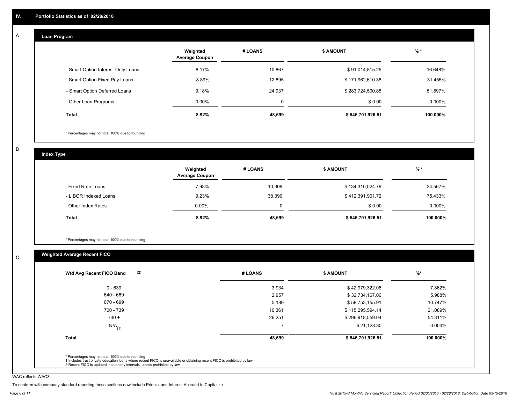#### **Loan Program**  A

|                                    | Weighted<br><b>Average Coupon</b> | # LOANS     | <b>\$ AMOUNT</b> | $%$ *    |
|------------------------------------|-----------------------------------|-------------|------------------|----------|
| - Smart Option Interest-Only Loans | 8.17%                             | 10.867      | \$91,014,815.25  | 16.648%  |
| - Smart Option Fixed Pay Loans     | 8.89%                             | 12,895      | \$171,962,610.38 | 31.455%  |
| - Smart Option Deferred Loans      | 9.18%                             | 24.937      | \$283,724,500.88 | 51.897%  |
| - Other Loan Programs              | $0.00\%$                          | $\mathbf 0$ | \$0.00           | 0.000%   |
| <b>Total</b>                       | 8.92%                             | 48,699      | \$546,701,926.51 | 100.000% |

\* Percentages may not total 100% due to rounding

B

C

**Index Type**

|                       | Weighted<br><b>Average Coupon</b> | # LOANS | <b>\$ AMOUNT</b> | $%$ *     |
|-----------------------|-----------------------------------|---------|------------------|-----------|
| - Fixed Rate Loans    | 7.98%                             | 10.309  | \$134,310,024.79 | 24.567%   |
| - LIBOR Indexed Loans | 9.23%                             | 38,390  | \$412,391,901.72 | 75.433%   |
| - Other Index Rates   | $0.00\%$                          |         | \$0.00           | $0.000\%$ |
| <b>Total</b>          | 8.92%                             | 48,699  | \$546,701,926.51 | 100.000%  |

\* Percentages may not total 100% due to rounding

# **Weighted Average Recent FICO**

| (2)<br>Wtd Avg Recent FICO Band | # LOANS | <b>\$ AMOUNT</b> | $%$ *     |
|---------------------------------|---------|------------------|-----------|
| $0 - 639$                       | 3,934   | \$42,979,322.06  | 7.862%    |
| 640 - 669                       | 2,957   | \$32,734,167.06  | 5.988%    |
| 670 - 699                       | 5,189   | \$58,753,155.91  | 10.747%   |
| 700 - 739                       | 10,361  | \$115,295,594.14 | 21.089%   |
| $740 +$                         | 26,251  | \$296,918,559.04 | 54.311%   |
| $N/A$ <sub>(1)</sub>            | -       | \$21,128.30      | $0.004\%$ |
| Total                           | 48,699  | \$546,701,926.51 | 100.000%  |

WAC reflects WAC3

To conform with company standard reporting these sections now include Princial and Interest Accrued to Capitalize.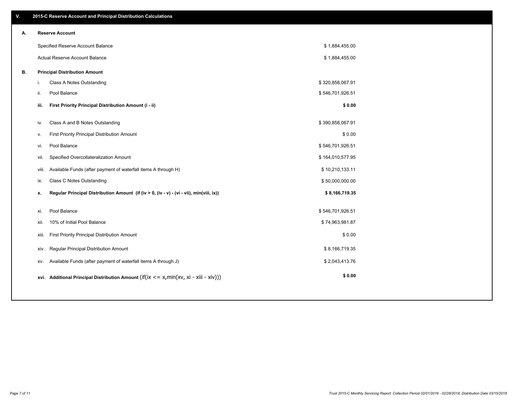| V. |       | 2015-C Reserve Account and Principal Distribution Calculations                             |                  |  |
|----|-------|--------------------------------------------------------------------------------------------|------------------|--|
| А. |       | <b>Reserve Account</b>                                                                     |                  |  |
|    |       | Specified Reserve Account Balance                                                          | \$1,884,455.00   |  |
|    |       | Actual Reserve Account Balance                                                             | \$1,884,455.00   |  |
| В. |       | <b>Principal Distribution Amount</b>                                                       |                  |  |
|    | i.    | Class A Notes Outstanding                                                                  | \$320,858,067.91 |  |
|    | ii.   | Pool Balance                                                                               | \$546,701,926.51 |  |
|    | iii.  | First Priority Principal Distribution Amount (i - ii)                                      | \$0.00           |  |
|    | iv.   | Class A and B Notes Outstanding                                                            | \$390,858,067.91 |  |
|    | v.    | First Priority Principal Distribution Amount                                               | \$0.00           |  |
|    | vi.   | Pool Balance                                                                               | \$546,701,926.51 |  |
|    | vii.  | Specified Overcollateralization Amount                                                     | \$164,010,577.95 |  |
|    | viii. | Available Funds (after payment of waterfall items A through H)                             | \$10,210,133.11  |  |
|    | ix.   | Class C Notes Outstanding                                                                  | \$50,000,000.00  |  |
|    | x.    | Regular Principal Distribution Amount (if (iv > 0, (iv - v) - (vi - vii), min(viii, ix))   | \$8,166,719.35   |  |
|    |       |                                                                                            |                  |  |
|    | xi.   | Pool Balance                                                                               | \$546,701,926.51 |  |
|    | xii.  | 10% of Initial Pool Balance                                                                | \$74,963,981.87  |  |
|    | xiii. | First Priority Principal Distribution Amount                                               | \$0.00           |  |
|    | xiv.  | Regular Principal Distribution Amount                                                      | \$8,166,719.35   |  |
|    | XV.   | Available Funds (after payment of waterfall items A through J)                             | \$2,043,413.76   |  |
|    |       | xvi. Additional Principal Distribution Amount (if(ix $\lt$ = x, min(xv, xi - xiii - xiv))) | \$0.00           |  |
|    |       |                                                                                            |                  |  |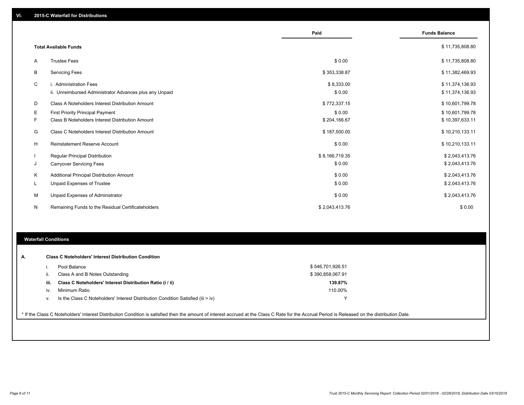|        |                                                                                             | Paid                     | <b>Funds Balance</b>               |
|--------|---------------------------------------------------------------------------------------------|--------------------------|------------------------------------|
|        | <b>Total Available Funds</b>                                                                |                          | \$11,735,808.80                    |
| A      | <b>Trustee Fees</b>                                                                         | \$0.00                   | \$11,735,808.80                    |
| B      | <b>Servicing Fees</b>                                                                       | \$353,338.87             | \$11,382,469.93                    |
| C      | i. Administration Fees<br>ii. Unreimbursed Administrator Advances plus any Unpaid           | \$8,333.00<br>\$0.00     | \$11,374,136.93<br>\$11,374,136.93 |
| D      | Class A Noteholders Interest Distribution Amount                                            | \$772,337.15             | \$10,601,799.78                    |
| Е<br>F | <b>First Priority Principal Payment</b><br>Class B Noteholders Interest Distribution Amount | \$0.00<br>\$204,166.67   | \$10,601,799.78<br>\$10,397,633.11 |
| G      | Class C Noteholders Interest Distribution Amount                                            | \$187,500.00             | \$10,210,133.11                    |
| H      | <b>Reinstatement Reserve Account</b>                                                        | \$0.00                   | \$10,210,133.11                    |
| J      | <b>Regular Principal Distribution</b><br><b>Carryover Servicing Fees</b>                    | \$8,166,719.35<br>\$0.00 | \$2,043,413.76<br>\$2,043,413.76   |
| K      | Additional Principal Distribution Amount                                                    | \$0.00                   | \$2,043,413.76                     |
| L.     | <b>Unpaid Expenses of Trustee</b>                                                           | \$0.00                   | \$2,043,413.76                     |
| M      | Unpaid Expenses of Administrator                                                            | \$0.00                   | \$2,043,413.76                     |
| N      | Remaining Funds to the Residual Certificateholders                                          | \$2,043,413.76           | \$0.00                             |

## **Waterfall Conditions**

| А. |      | <b>Class C Noteholders' Interest Distribution Condition</b>                                                                                                                                     |                  |  |
|----|------|-------------------------------------------------------------------------------------------------------------------------------------------------------------------------------------------------|------------------|--|
|    |      | Pool Balance                                                                                                                                                                                    | \$546,701,926.51 |  |
|    | ii.  | Class A and B Notes Outstanding                                                                                                                                                                 | \$390,858,067.91 |  |
|    | iii. | Class C Noteholders' Interest Distribution Ratio (i / ii)                                                                                                                                       | 139.87%          |  |
|    | İV.  | Minimum Ratio                                                                                                                                                                                   | 110.00%          |  |
|    | V.   | Is the Class C Noteholders' Interest Distribution Condition Satisfied (iii $>$ iv)                                                                                                              |                  |  |
|    |      | * If the Class C Noteholders' Interest Distribution Condition is satisfied then the amount of interest accrued at the Class C Rate for the Accrual Period is Released on the distribution Date. |                  |  |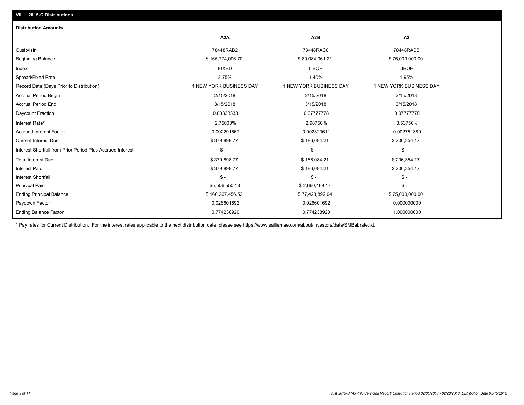# **VII. 2015-C Distributions**

| <b>Distribution Amounts</b>                                |                         |                         |                         |
|------------------------------------------------------------|-------------------------|-------------------------|-------------------------|
|                                                            | A <sub>2</sub> A        | A <sub>2</sub> B        | A <sub>3</sub>          |
| Cusip/Isin                                                 | 78448RAB2               | 78448RAC0               | 78448RAD8               |
| <b>Beginning Balance</b>                                   | \$165,774,006.70        | \$80,084,061.21         | \$75,000,000.00         |
| Index                                                      | <b>FIXED</b>            | <b>LIBOR</b>            | <b>LIBOR</b>            |
| Spread/Fixed Rate                                          | 2.75%                   | 1.40%                   | 1.95%                   |
| Record Date (Days Prior to Distribution)                   | 1 NEW YORK BUSINESS DAY | 1 NEW YORK BUSINESS DAY | 1 NEW YORK BUSINESS DAY |
| Accrual Period Begin                                       | 2/15/2018               | 2/15/2018               | 2/15/2018               |
| <b>Accrual Period End</b>                                  | 3/15/2018               | 3/15/2018               | 3/15/2018               |
| Daycount Fraction                                          | 0.08333333              | 0.07777778              | 0.07777778              |
| Interest Rate*                                             | 2.75000%                | 2.98750%                | 3.53750%                |
| <b>Accrued Interest Factor</b>                             | 0.002291667             | 0.002323611             | 0.002751389             |
| <b>Current Interest Due</b>                                | \$379,898.77            | \$186,084.21            | \$206,354.17            |
| Interest Shortfall from Prior Period Plus Accrued Interest | $\mathsf{\$}$ -         | $\mathsf{\$}$ -         | $\mathsf{\$}$ -         |
| <b>Total Interest Due</b>                                  | \$379,898.77            | \$186,084.21            | \$206,354.17            |
| <b>Interest Paid</b>                                       | \$379,898.77            | \$186,084.21            | \$206,354.17            |
| <b>Interest Shortfall</b>                                  | $S -$                   | $\mathsf{\$}$ -         | $\mathsf{\$}$ -         |
| <b>Principal Paid</b>                                      | \$5,506,550.18          | \$2,660,169.17          | $S -$                   |
| <b>Ending Principal Balance</b>                            | \$160,267,456.52        | \$77,423,892.04         | \$75,000,000.00         |
| Paydown Factor                                             | 0.026601692             | 0.026601692             | 0.000000000             |
| <b>Ending Balance Factor</b>                               | 0.774238920             | 0.774238920             | 1.000000000             |

\* Pay rates for Current Distribution. For the interest rates applicable to the next distribution date, please see https://www.salliemae.com/about/investors/data/SMBabrate.txt.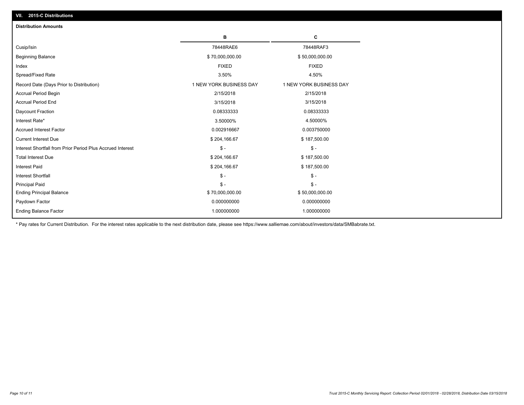| <b>Distribution Amounts</b>                                |                         |                         |
|------------------------------------------------------------|-------------------------|-------------------------|
|                                                            | в                       | C                       |
| Cusip/Isin                                                 | 78448RAE6               | 78448RAF3               |
| <b>Beginning Balance</b>                                   | \$70,000,000.00         | \$50,000,000.00         |
| Index                                                      | <b>FIXED</b>            | <b>FIXED</b>            |
| Spread/Fixed Rate                                          | 3.50%                   | 4.50%                   |
| Record Date (Days Prior to Distribution)                   | 1 NEW YORK BUSINESS DAY | 1 NEW YORK BUSINESS DAY |
| <b>Accrual Period Begin</b>                                | 2/15/2018               | 2/15/2018               |
| <b>Accrual Period End</b>                                  | 3/15/2018               | 3/15/2018               |
| Daycount Fraction                                          | 0.08333333              | 0.08333333              |
| Interest Rate*                                             | 3.50000%                | 4.50000%                |
| <b>Accrued Interest Factor</b>                             | 0.002916667             | 0.003750000             |
| <b>Current Interest Due</b>                                | \$204,166.67            | \$187,500.00            |
| Interest Shortfall from Prior Period Plus Accrued Interest | $\mathbb{S}$ -          | $$ -$                   |
| <b>Total Interest Due</b>                                  | \$204,166.67            | \$187,500.00            |
| <b>Interest Paid</b>                                       | \$204,166.67            | \$187,500.00            |
| <b>Interest Shortfall</b>                                  | $\mathbb{S}$ -          | $S -$                   |
| <b>Principal Paid</b>                                      | $S -$                   | $S -$                   |
| <b>Ending Principal Balance</b>                            | \$70,000,000.00         | \$50,000,000.00         |
| Paydown Factor                                             | 0.000000000             | 0.000000000             |
| <b>Ending Balance Factor</b>                               | 1.000000000             | 1.000000000             |

\* Pay rates for Current Distribution. For the interest rates applicable to the next distribution date, please see https://www.salliemae.com/about/investors/data/SMBabrate.txt.

**VII. 2015-C Distributions**